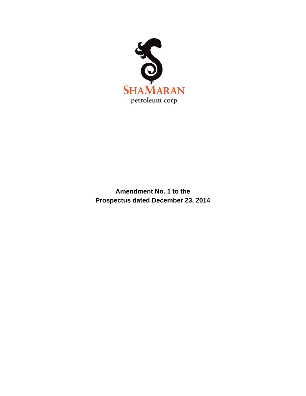

**Amendment No. 1 to the Prospectus dated December 23, 2014**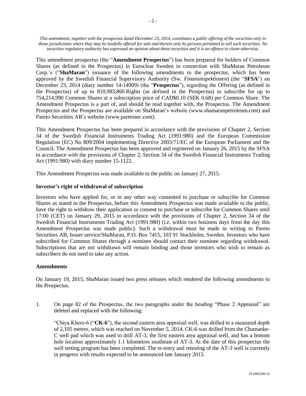*This amendment, together with the prospectus dated December 23, 2014, constitutes a public offering of the securities only in those jurisdictions where they may be lawfully offered for sale and therein only by persons permitted to sell such securities. No securities regulatory authority has expressed an opinion about these securities and it is an offence to claim otherwise.*

This amendment prospectus (the "**Amendment Prospectus**") has been prepared for holders of Common Shares (as defined in the Prospectus) in Euroclear Sweden in connection with ShaMaran Petroleum Corp.'s ("**ShaMaran**") issuance of the following amendments to the prospectus, which has been approved by the Swedish Financial Supervisory Authority (Sw. *Finansinspektionen*) (the "**SFSA**") on December 23, 2014 (diary number 14-14909) (the "**Prospectus**"), regarding the Offering (as defined in the Prospectus) of up to 810,983,860 Rights (as defined in the Prospectus) to subscribe for up to 754,214,990 Common Shares at a subscription price of CAD\$0.10 (SEK 0.68) per Common Share. The Amendment Prospectus is a part of, and should be read together with, the Prospectus. The Amendment Prospectus and the Prospectus are available on ShaMaran's website (www.shamaranpetroleum.com) and Pareto Securities AB's website (www.paretosec.com).

This Amendment Prospectus has been prepared in accordance with the provisions of Chapter 2, Section 34 of the Swedish Financial Instruments Trading Act (1991:980) and the European Commission Regulation (EC) No 809/2004 implementing Directive 2003/71/EC of the European Parliament and the Council. The Amendment Prospectus has been approved and registered on January 26, 2015 by the SFSA in accordance with the provisions of Chapter 2, Section 34 of the Swedish Financial Instruments Trading Act (1991:980) with diary number 15-1122.

This Amendment Prospectus was made available to the public on January 27, 2015.

## **Investor's right of withdrawal of subscription**

Investors who have applied for, or in any other way consented to purchase or subscribe for Common Shares as stated in the Prospectus, before this Amendment Prospectus was made available to the public, have the right to withdraw their application or consent to purchase or subscribe for Common Shares until 17:00 (CET) on January 29, 2015 in accordance with the provisions of Chapter 2, Section 34 of the Swedish Financial Instruments Trading Act (1991:980) (*i.e.* within two business days from the day this Amendment Prospectus was made public). Such a withdrawal must be made in writing to Pareto Securities AB, Issuer service/ShaMaran, P.O. Box 7415, 103 91 Stockholm, Sweden. Investors who have subscribed for Common Shares through a nominee should contact their nominee regarding withdrawal. Subscriptions that are not withdrawn will remain binding and those investors who wish to remain as subscribers do not need to take any action.

## **Amendments**

On January 19, 2015, ShaMaran issued two press releases which rendered the following amendments to the Prospectus.

1. On page 82 of the Prospectus, the two paragraphs under the heading "Phase 2 Appraisal" are deleted and replaced with the following:

"Chiya Khere-6 ("**CK-6**"), the second eastern area appraisal well, was drilled to a measured depth of 2,105 metres, which was reached on November 5, 2014. CK-6 was drilled from the Chamanke-C well pad which was used to drill AT-3, the first eastern area appraisal well, and has a bottom hole location approximately 1.1 kilometres southeast of AT-3. At the date of this prospectus the well testing program has been completed. The re-entry and retesting of the AT-3 well is currently in progress with results expected to be announced late January 2015.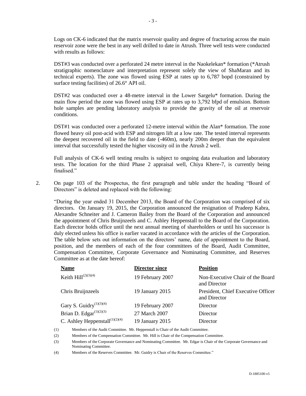Logs on CK-6 indicated that the matrix reservoir quality and degree of fracturing across the main reservoir zone were the best in any well drilled to date in Atrush. Three well tests were conducted with results as follows:

DST#3 was conducted over a perforated 24 metre interval in the Naokelekan\* formation (\*Atrush stratigraphic nomenclature and interpretation represent solely the view of ShaMaran and its technical experts). The zone was flowed using ESP at rates up to 6,787 bopd (constrained by surface testing facilities) of 26.6° API oil.

DST#2 was conducted over a 48-metre interval in the Lower Sargelu\* formation. During the main flow period the zone was flowed using ESP at rates up to 3,792 bfpd of emulsion. Bottom hole samples are pending laboratory analysis to provide the gravity of the oil at reservoir conditions.

DST#1 was conducted over a perforated 12-metre interval within the Alan\* formation. The zone flowed heavy oil post-acid with ESP and nitrogen lift at a low rate. The tested interval represents the deepest recovered oil in the field to date (-460m), nearly 200m deeper than the equivalent interval that successfully tested the higher viscosity oil in the Atrush 2 well.

Full analysis of CK-6 well testing results is subject to ongoing data evaluation and laboratory tests. The location for the third Phase 2 appraisal well, Chiya Khere-7, is currently being finalised"

2. On page 103 of the Prospectus, the first paragraph and table under the heading "Board of Directors" is deleted and replaced with the following:

"During the year ended 31 December 2013, the Board of the Corporation was comprised of six directors. On January 19, 2015, the Corporation announced the resignation of Pradeep Kabra, Alexandre Schneiter and J. Cameron Bailey from the Board of the Corporation and announced the appointment of Chris Bruijnzeels and C. Ashley Heppenstall to the Board of the Corporation. Each director holds office until the next annual meeting of shareholders or until his successor is duly elected unless his office is earlier vacated in accordance with the articles of the Corporation. The table below sets out information on the directors' name, date of appointment to the Board, position, and the members of each of the four committees of the Board, Audit Committee, Compensation Committee, Corporate Governance and Nominating Committee, and Reserves Committee as at the date hereof:

| <b>Name</b>                                             | <b>Director since</b> | <b>Position</b>                                    |
|---------------------------------------------------------|-----------------------|----------------------------------------------------|
| Keith $\text{Hill}^{(2)(3)(4)}$                         | 19 February 2007      | Non-Executive Chair of the Board<br>and Director   |
| Chris Bruijnzeels                                       | 19 January 2015       | President, Chief Executive Officer<br>and Director |
| Gary S. Guidry <sup><math>(1)(3)(4)</math></sup>        | 19 February 2007      | Director                                           |
| Brian D. Edgar $(1)(2)(3)$                              | 27 March 2007         | Director                                           |
| C. Ashley Heppenstall <sup><math>(1)(2)(4)</math></sup> | 19 January 2015       | Director                                           |

(1) Members of the Audit Committee. Mr. Heppenstall is Chair of the Audit Committee.

(3) Members of the Corporate Governance and Nominating Committee. Mr. Edgar is Chair of the Corporate Governance and Nominating Committee.

(4) Members of the Reserves Committee. Mr. Guidry is Chair of the Reserves Committee."

<sup>(2)</sup> Members of the Compensation Committee. Mr. Hill is Chair of the Compensation Committee.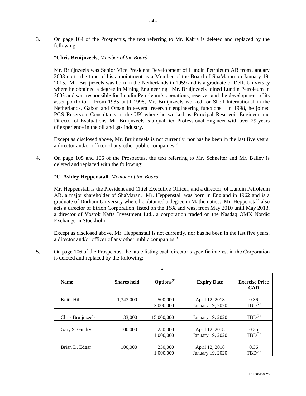3. On page 104 of the Prospectus, the text referring to Mr. Kabra is deleted and replaced by the following:

## "**Chris Bruijnzeels**, *Member of the Board*

Mr. Bruijnzeels was Senior Vice President Development of Lundin Petroleum AB from January 2003 up to the time of his appointment as a Member of the Board of ShaMaran on January 19, 2015. Mr. Bruijnzeels was born in the Netherlands in 1959 and is a graduate of Delft University where he obtained a degree in Mining Engineering. Mr. Bruijnzeels joined Lundin Petroleum in 2003 and was responsible for Lundin Petroleum's operations, reserves and the development of its asset portfolio. From 1985 until 1998, Mr. Bruijnzeels worked for Shell International in the Netherlands, Gabon and Oman in several reservoir engineering functions. In 1998, he joined PGS Reservoir Consultants in the UK where he worked as Principal Reservoir Engineer and Director of Evaluations. Mr. Bruijnzeels is a qualified Professional Engineer with over 29 years of experience in the oil and gas industry.

Except as disclosed above, Mr. Bruijnzeels is not currently, nor has he been in the last five years, a director and/or officer of any other public companies."

4. On page 105 and 106 of the Prospectus, the text referring to Mr. Schneiter and Mr. Bailey is deleted and replaced with the following:

## "**C. Ashley Heppenstall**, *Member of the Board*

Mr. Heppenstall is the President and Chief Executive Officer, and a director, of Lundin Petroleum AB, a major shareholder of ShaMaran. Mr. Heppenstall was born in England in 1962 and is a graduate of Durham University where he obtained a degree in Mathematics. Mr. Heppenstall also acts a director of Etrion Corporation, listed on the TSX and was, from May 2010 until May 2013, a director of Vostok Nafta Investment Ltd., a corporation traded on the Nasdaq OMX Nordic Exchange in Stockholm.

Except as disclosed above, Mr. Heppenstall is not currently, nor has he been in the last five years, a director and/or officer of any other public companies."

**"**

5. On page 106 of the Prospectus, the table listing each director's specific interest in the Corporation is deleted and replaced by the following:

| <b>Name</b>       | <b>Shares held</b> | $\mathbf{Options}^{(1)}$ | <b>Expiry Date</b>                 | <b>Exercise Price</b><br><b>CAD</b> |
|-------------------|--------------------|--------------------------|------------------------------------|-------------------------------------|
| Keith Hill        | 1,343,000          | 500,000<br>2,000,000     | April 12, 2018<br>January 19, 2020 | 0.36<br>$TBD^{(2)}$                 |
| Chris Bruijnzeels | 33,000             | 15,000,000               | January 19, 2020                   | $TBD^{(2)}$                         |
| Gary S. Guidry    | 100,000            | 250,000<br>1,000,000     | April 12, 2018<br>January 19, 2020 | 0.36<br>$TBD^{(2)}$                 |
| Brian D. Edgar    | 100,000            | 250,000<br>1,000,000     | April 12, 2018<br>January 19, 2020 | 0.36<br>$TBD^{(2)}$                 |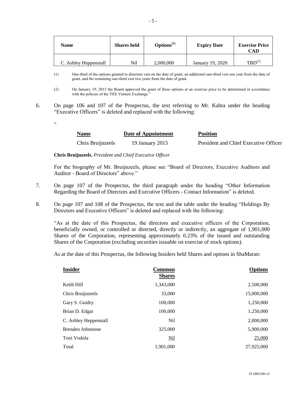| Name                  | <b>Shares held</b> | $\mathbf{Options}^{(1)}$ | <b>Expiry Date</b> | <b>Exercise Price</b><br>CAD. |
|-----------------------|--------------------|--------------------------|--------------------|-------------------------------|
| C. Ashley Heppenstall | Nil                | 2,000,000                | January 19, 2020   | $TBD^{(2)}$                   |

(1) One-third of the options granted to directors vest on the date of grant, an additional one-third vest one year from the date of grant, and the remaining one-third vest two years from the date of grant.

- (2) On January 19, 2015 the Board approved the grant of these options at an exercise price to be determined in accordance with the policies of the TSX Venture Exchange."
- 6. On page 106 and 107 of the Prospectus, the text referring to Mr. Kabra under the heading "Executive Officers" is deleted and replaced with the following:
	- $\overline{\mathbf{c}}$

| <b>Name</b>       | Date of Appointment | <b>Position</b>                       |
|-------------------|---------------------|---------------------------------------|
| Chris Bruijnzeels | 19 January 2015     | President and Chief Executive Officer |

**Chris Bruijnzeels**, *President and Chief Executive Officer*

For the biography of Mr. Bruijnzeels, please see "Board of Directors, Executive Auditors and Auditor - Board of Directors" above."

- 7. On page 107 of the Prospectus, the third paragraph under the heading "Other Information Regarding the Board of Directors and Executive Officers - Contact Information" is deleted.
- 8. On page 107 and 108 of the Prospectus, the text and the table under the heading "Holdings By Directors and Executive Officers" is deleted and replaced with the following:

"As at the date of this Prospectus, the directors and executive officers of the Corporation, beneficially owned, or controlled or directed, directly or indirectly, an aggregate of 1,901,000 Shares of the Corporation, representing approximately 0.23% of the issued and outstanding Shares of the Corporation (excluding securities issuable on exercise of stock options).

As at the date of this Prospectus, the following Insiders held Shares and options in ShaMaran:

| <b>Insider</b>           | Common<br><b>Shares</b> | <b>Options</b> |
|--------------------------|-------------------------|----------------|
|                          |                         |                |
| Keith Hill               | 1,343,000               | 2,500,000      |
| Chris Bruijnzeels        | 33,000                  | 15,000,000     |
| Gary S. Guidry           | 100,000                 | 1,250,000      |
| Brian D. Edgar           | 100,000                 | 1,250,000      |
| C. Ashley Heppenstall    | N <sub>il</sub>         | 2,000,000      |
| <b>Brenden Johnstone</b> | 325,000                 | 5,900,000      |
| Toni Vodola              | Nil                     | 25,000         |
| Total                    | 1.901.000               | 27,925,000     |